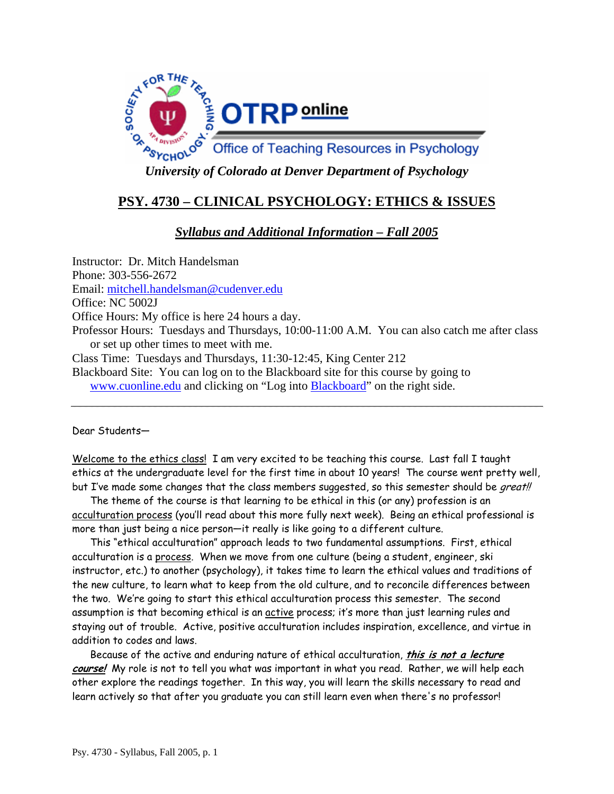

# **PSY. 4730 – CLINICAL PSYCHOLOGY: ETHICS & ISSUES**

# *Syllabus and Additional Information – Fall 2005*

Instructor: Dr. Mitch Handelsman Phone: 303-556-2672 Email: mitchell.handelsman@cudenver.edu Office: NC 5002J Office Hours: My office is here 24 hours a day. Professor Hours: Tuesdays and Thursdays, 10:00-11:00 A.M. You can also catch me after class or set up other times to meet with me. Class Time: Tuesdays and Thursdays, 11:30-12:45, King Center 212 Blackboard Site: You can log on to the Blackboard site for this course by going to www.cuonline.edu and clicking on "Log into Blackboard" on the right side.

Dear Students—

Welcome to the ethics class! I am very excited to be teaching this course. Last fall I taught ethics at the undergraduate level for the first time in about 10 years! The course went pretty well, but I've made some changes that the class members suggested, so this semester should be great!!

The theme of the course is that learning to be ethical in this (or any) profession is an acculturation process (you'll read about this more fully next week). Being an ethical professional is more than just being a nice person—it really is like going to a different culture.

This "ethical acculturation" approach leads to two fundamental assumptions. First, ethical acculturation is a process. When we move from one culture (being a student, engineer, ski instructor, etc.) to another (psychology), it takes time to learn the ethical values and traditions of the new culture, to learn what to keep from the old culture, and to reconcile differences between the two. We're going to start this ethical acculturation process this semester. The second assumption is that becoming ethical is an active process; it's more than just learning rules and staying out of trouble. Active, positive acculturation includes inspiration, excellence, and virtue in addition to codes and laws.

Because of the active and enduring nature of ethical acculturation, **this is not a lecture course!** My role is not to tell you what was important in what you read. Rather, we will help each other explore the readings together. In this way, you will learn the skills necessary to read and learn actively so that after you graduate you can still learn even when there's no professor!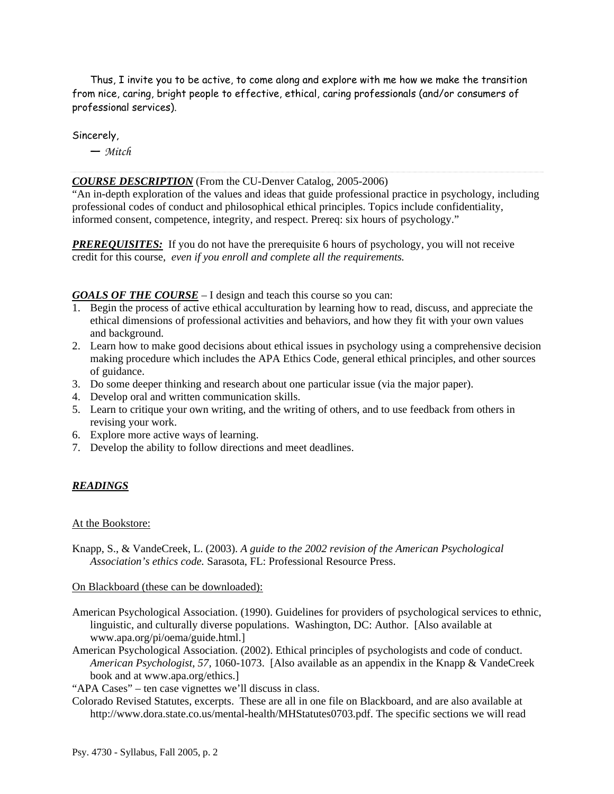Thus, I invite you to be active, to come along and explore with me how we make the transition from nice, caring, bright people to effective, ethical, caring professionals (and/or consumers of professional services).

Sincerely,

— *Mitch*

#### *COURSE DESCRIPTION* (From the CU-Denver Catalog, 2005-2006)

"An in-depth exploration of the values and ideas that guide professional practice in psychology, including professional codes of conduct and philosophical ethical principles. Topics include confidentiality, informed consent, competence, integrity, and respect. Prereq: six hours of psychology."

**PREREQUISITES:** If you do not have the prerequisite 6 hours of psychology, you will not receive credit for this course, *even if you enroll and complete all the requirements.*

#### *GOALS OF THE COURSE* – I design and teach this course so you can:

- 1. Begin the process of active ethical acculturation by learning how to read, discuss, and appreciate the ethical dimensions of professional activities and behaviors, and how they fit with your own values and background.
- 2. Learn how to make good decisions about ethical issues in psychology using a comprehensive decision making procedure which includes the APA Ethics Code, general ethical principles, and other sources of guidance.
- 3. Do some deeper thinking and research about one particular issue (via the major paper).
- 4. Develop oral and written communication skills.
- 5. Learn to critique your own writing, and the writing of others, and to use feedback from others in revising your work.
- 6. Explore more active ways of learning.
- 7. Develop the ability to follow directions and meet deadlines.

#### *READINGS*

#### At the Bookstore:

Knapp, S., & VandeCreek, L. (2003). *A guide to the 2002 revision of the American Psychological Association's ethics code.* Sarasota, FL: Professional Resource Press.

#### On Blackboard (these can be downloaded):

- American Psychological Association. (1990). Guidelines for providers of psychological services to ethnic, linguistic, and culturally diverse populations. Washington, DC: Author. [Also available at www.apa.org/pi/oema/guide.html.]
- American Psychological Association. (2002). Ethical principles of psychologists and code of conduct. *American Psychologist, 57,* 1060-1073. [Also available as an appendix in the Knapp & VandeCreek book and at www.apa.org/ethics.]

"APA Cases" – ten case vignettes we'll discuss in class.

Colorado Revised Statutes, excerpts. These are all in one file on Blackboard, and are also available at http://www.dora.state.co.us/mental-health/MHStatutes0703.pdf. The specific sections we will read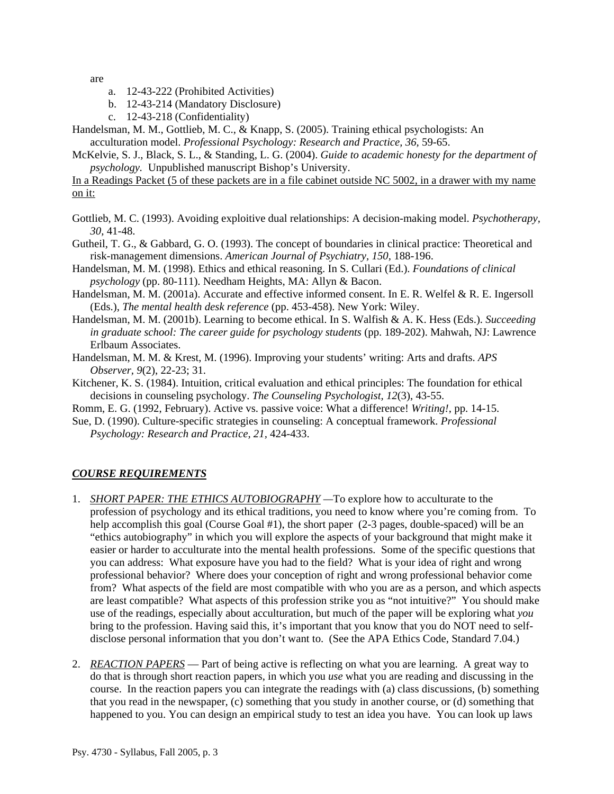are

- a. 12-43-222 (Prohibited Activities)
- b. 12-43-214 (Mandatory Disclosure)
- c. 12-43-218 (Confidentiality)
- Handelsman, M. M., Gottlieb, M. C., & Knapp, S. (2005). Training ethical psychologists: An acculturation model. *Professional Psychology: Research and Practice, 36,* 59-65.
- McKelvie, S. J., Black, S. L., & Standing, L. G. (2004). *Guide to academic honesty for the department of psychology.* Unpublished manuscript Bishop's University.

In a Readings Packet (5 of these packets are in a file cabinet outside NC 5002, in a drawer with my name on it:

- Gottlieb, M. C. (1993). Avoiding exploitive dual relationships: A decision-making model. *Psychotherapy, 30,* 41-48.
- Gutheil, T. G., & Gabbard, G. O. (1993). The concept of boundaries in clinical practice: Theoretical and risk-management dimensions. *American Journal of Psychiatry, 150,* 188-196.
- Handelsman, M. M. (1998). Ethics and ethical reasoning. In S. Cullari (Ed.). *Foundations of clinical psychology* (pp. 80-111). Needham Heights, MA: Allyn & Bacon.
- Handelsman, M. M. (2001a). Accurate and effective informed consent. In E. R. Welfel & R. E. Ingersoll (Eds.), *The mental health desk reference* (pp. 453-458). New York: Wiley.
- Handelsman, M. M. (2001b). Learning to become ethical. In S. Walfish & A. K. Hess (Eds.). *Succeeding in graduate school: The career guide for psychology students* (pp. 189-202). Mahwah, NJ: Lawrence Erlbaum Associates.
- Handelsman, M. M. & Krest, M. (1996). Improving your students' writing: Arts and drafts. *APS Observer, 9*(2), 22-23; 31.
- Kitchener, K. S. (1984). Intuition, critical evaluation and ethical principles: The foundation for ethical decisions in counseling psychology. *The Counseling Psychologist, 12*(3), 43-55.
- Romm, E. G. (1992, February). Active vs. passive voice: What a difference! *Writing!*, pp. 14-15.
- Sue, D. (1990). Culture-specific strategies in counseling: A conceptual framework. *Professional Psychology: Research and Practice, 21,* 424-433.

### *COURSE REQUIREMENTS*

- 1. *SHORT PAPER: THE ETHICS AUTOBIOGRAPHY —*To explore how to acculturate to the profession of psychology and its ethical traditions, you need to know where you're coming from. To help accomplish this goal (Course Goal #1), the short paper (2-3 pages, double-spaced) will be an "ethics autobiography" in which you will explore the aspects of your background that might make it easier or harder to acculturate into the mental health professions. Some of the specific questions that you can address: What exposure have you had to the field? What is your idea of right and wrong professional behavior? Where does your conception of right and wrong professional behavior come from? What aspects of the field are most compatible with who you are as a person, and which aspects are least compatible? What aspects of this profession strike you as "not intuitive?" You should make use of the readings, especially about acculturation, but much of the paper will be exploring what *you* bring to the profession. Having said this, it's important that you know that you do NOT need to selfdisclose personal information that you don't want to. (See the APA Ethics Code, Standard 7.04.)
- 2. *REACTION PAPERS* Part of being active is reflecting on what you are learning. A great way to do that is through short reaction papers, in which you *use* what you are reading and discussing in the course. In the reaction papers you can integrate the readings with (a) class discussions, (b) something that you read in the newspaper, (c) something that you study in another course, or (d) something that happened to you. You can design an empirical study to test an idea you have. You can look up laws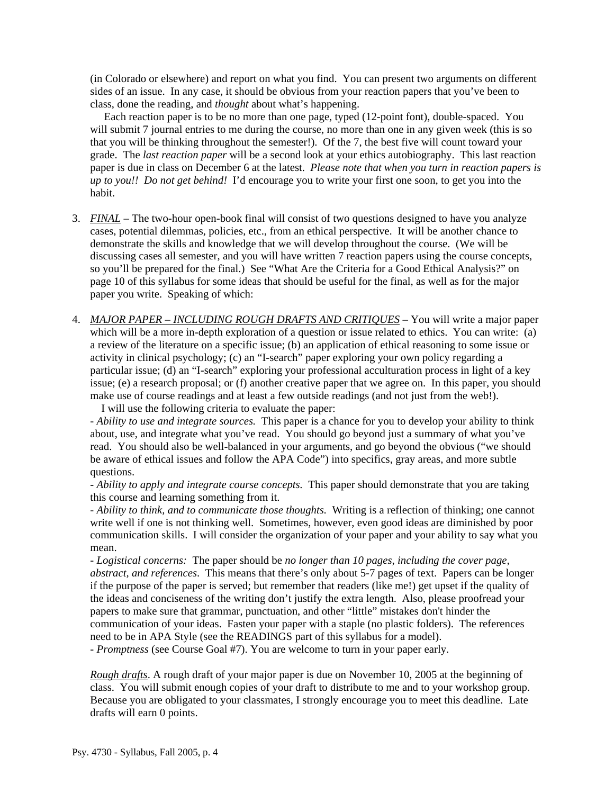(in Colorado or elsewhere) and report on what you find. You can present two arguments on different sides of an issue. In any case, it should be obvious from your reaction papers that you've been to class, done the reading, and *thought* about what's happening.

 Each reaction paper is to be no more than one page, typed (12-point font), double-spaced. You will submit 7 journal entries to me during the course, no more than one in any given week (this is so that you will be thinking throughout the semester!). Of the 7, the best five will count toward your grade. The *last reaction paper* will be a second look at your ethics autobiography. This last reaction paper is due in class on December 6 at the latest. *Please note that when you turn in reaction papers is up to you!! Do not get behind!* I'd encourage you to write your first one soon, to get you into the habit.

- 3. *FINAL* The two-hour open-book final will consist of two questions designed to have you analyze cases, potential dilemmas, policies, etc., from an ethical perspective. It will be another chance to demonstrate the skills and knowledge that we will develop throughout the course. (We will be discussing cases all semester, and you will have written 7 reaction papers using the course concepts, so you'll be prepared for the final.) See "What Are the Criteria for a Good Ethical Analysis?" on page 10 of this syllabus for some ideas that should be useful for the final, as well as for the major paper you write. Speaking of which:
- 4. *MAJOR PAPER INCLUDING ROUGH DRAFTS AND CRITIQUES* You will write a major paper which will be a more in-depth exploration of a question or issue related to ethics. You can write: (a) a review of the literature on a specific issue; (b) an application of ethical reasoning to some issue or activity in clinical psychology; (c) an "I-search" paper exploring your own policy regarding a particular issue; (d) an "I-search" exploring your professional acculturation process in light of a key issue; (e) a research proposal; or (f) another creative paper that we agree on. In this paper, you should make use of course readings and at least a few outside readings (and not just from the web!).

I will use the following criteria to evaluate the paper:

- *Ability to use and integrate sources.* This paper is a chance for you to develop your ability to think about, use, and integrate what you've read. You should go beyond just a summary of what you've read. You should also be well-balanced in your arguments, and go beyond the obvious ("we should be aware of ethical issues and follow the APA Code") into specifics, gray areas, and more subtle questions.

- *Ability to apply and integrate course concepts.* This paper should demonstrate that you are taking this course and learning something from it.

- *Ability to think, and to communicate those thoughts.* Writing is a reflection of thinking; one cannot write well if one is not thinking well. Sometimes, however, even good ideas are diminished by poor communication skills. I will consider the organization of your paper and your ability to say what you mean.

- *Logistical concerns:* The paper should be *no longer than 10 pages, including the cover page, abstract, and references*. This means that there's only about 5-7 pages of text. Papers can be longer if the purpose of the paper is served; but remember that readers (like me!) get upset if the quality of the ideas and conciseness of the writing don't justify the extra length. Also, please proofread your papers to make sure that grammar, punctuation, and other "little" mistakes don't hinder the communication of your ideas. Fasten your paper with a staple (no plastic folders). The references need to be in APA Style (see the READINGS part of this syllabus for a model).

- *Promptness* (see Course Goal #7). You are welcome to turn in your paper early.

*Rough drafts*. A rough draft of your major paper is due on November 10, 2005 at the beginning of class. You will submit enough copies of your draft to distribute to me and to your workshop group. Because you are obligated to your classmates, I strongly encourage you to meet this deadline. Late drafts will earn 0 points.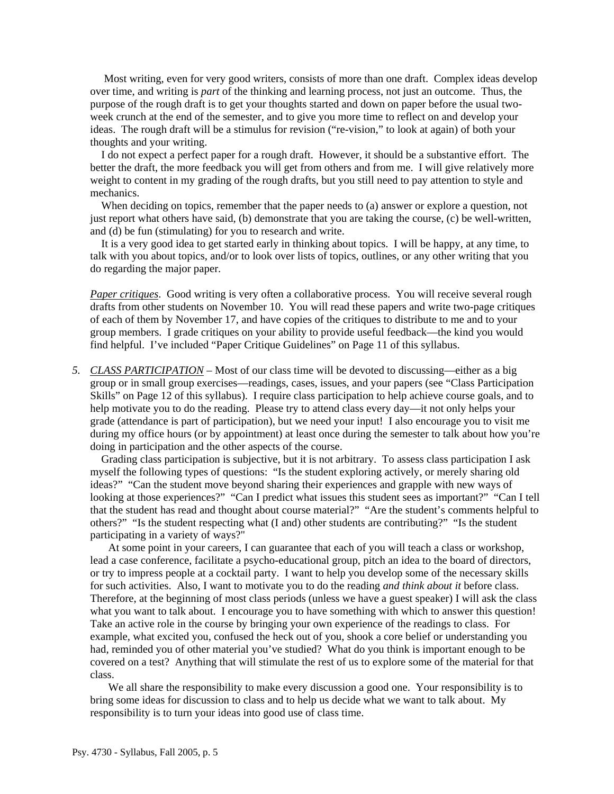Most writing, even for very good writers, consists of more than one draft. Complex ideas develop over time, and writing is *part* of the thinking and learning process, not just an outcome. Thus, the purpose of the rough draft is to get your thoughts started and down on paper before the usual twoweek crunch at the end of the semester, and to give you more time to reflect on and develop your ideas. The rough draft will be a stimulus for revision ("re-vision," to look at again) of both your thoughts and your writing.

 I do not expect a perfect paper for a rough draft. However, it should be a substantive effort. The better the draft, the more feedback you will get from others and from me. I will give relatively more weight to content in my grading of the rough drafts, but you still need to pay attention to style and mechanics.

 When deciding on topics, remember that the paper needs to (a) answer or explore a question, not just report what others have said, (b) demonstrate that you are taking the course, (c) be well-written, and (d) be fun (stimulating) for you to research and write.

 It is a very good idea to get started early in thinking about topics. I will be happy, at any time, to talk with you about topics, and/or to look over lists of topics, outlines, or any other writing that you do regarding the major paper.

*Paper critiques*. Good writing is very often a collaborative process. You will receive several rough drafts from other students on November 10. You will read these papers and write two-page critiques of each of them by November 17, and have copies of the critiques to distribute to me and to your group members. I grade critiques on your ability to provide useful feedback—the kind you would find helpful. I've included "Paper Critique Guidelines" on Page 11 of this syllabus.

*5. CLASS PARTICIPATION –* Most of our class time will be devoted to discussing—either as a big group or in small group exercises—readings, cases, issues, and your papers (see "Class Participation Skills" on Page 12 of this syllabus). I require class participation to help achieve course goals, and to help motivate you to do the reading. Please try to attend class every day—it not only helps your grade (attendance is part of participation), but we need your input! I also encourage you to visit me during my office hours (or by appointment) at least once during the semester to talk about how you're doing in participation and the other aspects of the course.

 Grading class participation is subjective, but it is not arbitrary. To assess class participation I ask myself the following types of questions: "Is the student exploring actively, or merely sharing old ideas?" "Can the student move beyond sharing their experiences and grapple with new ways of looking at those experiences?" "Can I predict what issues this student sees as important?" "Can I tell that the student has read and thought about course material?" "Are the student's comments helpful to others?" "Is the student respecting what (I and) other students are contributing?" "Is the student participating in a variety of ways?"

At some point in your careers, I can guarantee that each of you will teach a class or workshop, lead a case conference, facilitate a psycho-educational group, pitch an idea to the board of directors, or try to impress people at a cocktail party. I want to help you develop some of the necessary skills for such activities. Also, I want to motivate you to do the reading *and think about it* before class. Therefore, at the beginning of most class periods (unless we have a guest speaker) I will ask the class what you want to talk about. I encourage you to have something with which to answer this question! Take an active role in the course by bringing your own experience of the readings to class. For example, what excited you, confused the heck out of you, shook a core belief or understanding you had, reminded you of other material you've studied? What do you think is important enough to be covered on a test? Anything that will stimulate the rest of us to explore some of the material for that class.

We all share the responsibility to make every discussion a good one. Your responsibility is to bring some ideas for discussion to class and to help us decide what we want to talk about. My responsibility is to turn your ideas into good use of class time.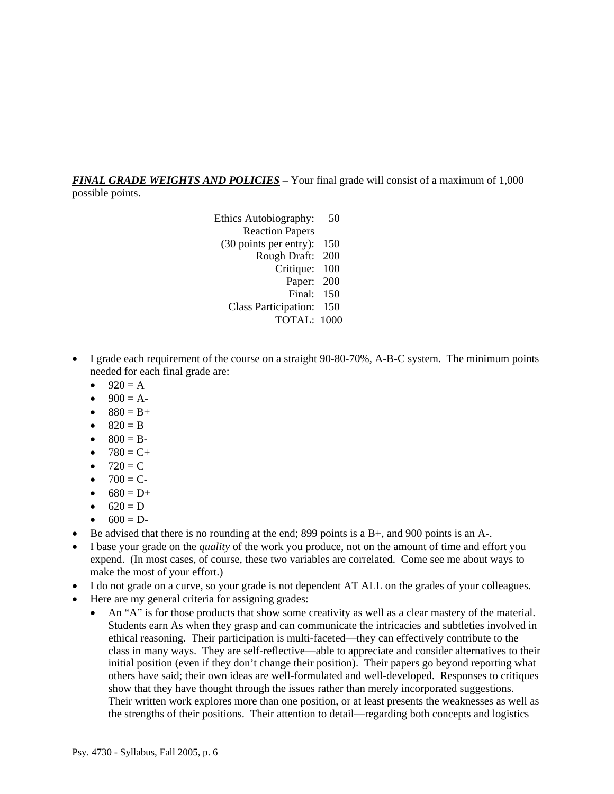*FINAL GRADE WEIGHTS AND POLICIES* – Your final grade will consist of a maximum of 1,000 possible points.

> Ethics Autobiography: 50 Reaction Papers (30 points per entry): 150 Rough Draft: 200 Critique: 100 Paper: 200 Final: 150 Class Participation: 150 TOTAL: 1000

- I grade each requirement of the course on a straight 90-80-70%, A-B-C system. The minimum points needed for each final grade are:
	- $920 = A$
	- $900 = A -$
	- $880 = B +$
	- $820 = B$
	- $800 = B -$
	- $780 = C +$
	- $720 = C$
	- $700 = C -$
	- $680 = D+$
	- $620 = D$
	- $600 = D -$
- Be advised that there is no rounding at the end; 899 points is a  $B<sub>+</sub>$ , and 900 points is an  $A<sub>-</sub>$ .
- I base your grade on the *quality* of the work you produce, not on the amount of time and effort you expend. (In most cases, of course, these two variables are correlated. Come see me about ways to make the most of your effort.)
- I do not grade on a curve, so your grade is not dependent AT ALL on the grades of your colleagues.
- Here are my general criteria for assigning grades:
	- An "A" is for those products that show some creativity as well as a clear mastery of the material. Students earn As when they grasp and can communicate the intricacies and subtleties involved in ethical reasoning. Their participation is multi-faceted—they can effectively contribute to the class in many ways. They are self-reflective—able to appreciate and consider alternatives to their initial position (even if they don't change their position). Their papers go beyond reporting what others have said; their own ideas are well-formulated and well-developed. Responses to critiques show that they have thought through the issues rather than merely incorporated suggestions. Their written work explores more than one position, or at least presents the weaknesses as well as the strengths of their positions. Their attention to detail—regarding both concepts and logistics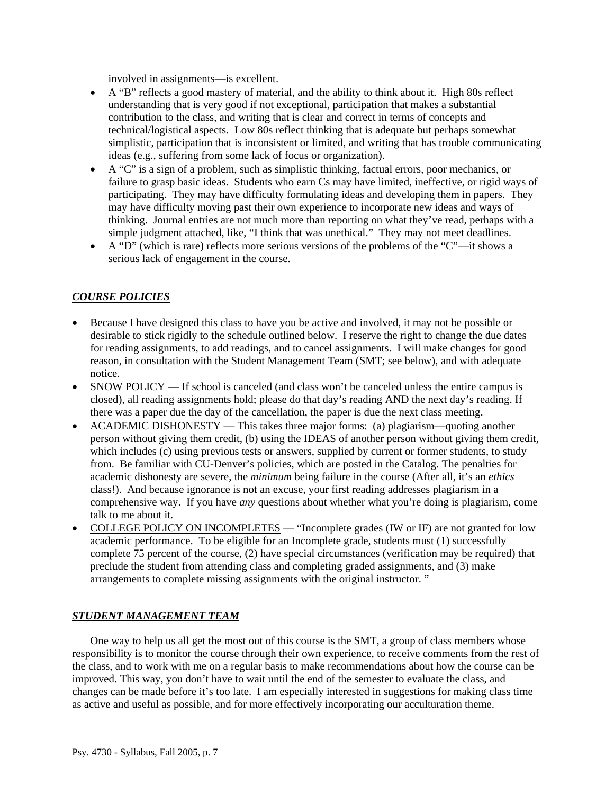involved in assignments—is excellent.

- A "B" reflects a good mastery of material, and the ability to think about it. High 80s reflect understanding that is very good if not exceptional, participation that makes a substantial contribution to the class, and writing that is clear and correct in terms of concepts and technical/logistical aspects. Low 80s reflect thinking that is adequate but perhaps somewhat simplistic, participation that is inconsistent or limited, and writing that has trouble communicating ideas (e.g., suffering from some lack of focus or organization).
- A "C" is a sign of a problem, such as simplistic thinking, factual errors, poor mechanics, or failure to grasp basic ideas. Students who earn Cs may have limited, ineffective, or rigid ways of participating. They may have difficulty formulating ideas and developing them in papers. They may have difficulty moving past their own experience to incorporate new ideas and ways of thinking. Journal entries are not much more than reporting on what they've read, perhaps with a simple judgment attached, like, "I think that was unethical." They may not meet deadlines.
- A "D" (which is rare) reflects more serious versions of the problems of the "C"—it shows a serious lack of engagement in the course.

### *COURSE POLICIES*

- Because I have designed this class to have you be active and involved, it may not be possible or desirable to stick rigidly to the schedule outlined below. I reserve the right to change the due dates for reading assignments, to add readings, and to cancel assignments. I will make changes for good reason, in consultation with the Student Management Team (SMT; see below), and with adequate notice.
- SNOW POLICY If school is canceled (and class won't be canceled unless the entire campus is closed), all reading assignments hold; please do that day's reading AND the next day's reading. If there was a paper due the day of the cancellation, the paper is due the next class meeting.
- ACADEMIC DISHONESTY This takes three major forms: (a) plagiarism—quoting another person without giving them credit, (b) using the IDEAS of another person without giving them credit, which includes (c) using previous tests or answers, supplied by current or former students, to study from. Be familiar with CU-Denver's policies, which are posted in the Catalog. The penalties for academic dishonesty are severe, the *minimum* being failure in the course (After all, it's an *ethics* class!). And because ignorance is not an excuse, your first reading addresses plagiarism in a comprehensive way. If you have *any* questions about whether what you're doing is plagiarism, come talk to me about it.
- COLLEGE POLICY ON INCOMPLETES "Incomplete grades (IW or IF) are not granted for low academic performance. To be eligible for an Incomplete grade, students must (1) successfully complete 75 percent of the course, (2) have special circumstances (verification may be required) that preclude the student from attending class and completing graded assignments, and (3) make arrangements to complete missing assignments with the original instructor. "

### *STUDENT MANAGEMENT TEAM*

One way to help us all get the most out of this course is the SMT, a group of class members whose responsibility is to monitor the course through their own experience, to receive comments from the rest of the class, and to work with me on a regular basis to make recommendations about how the course can be improved. This way, you don't have to wait until the end of the semester to evaluate the class, and changes can be made before it's too late. I am especially interested in suggestions for making class time as active and useful as possible, and for more effectively incorporating our acculturation theme.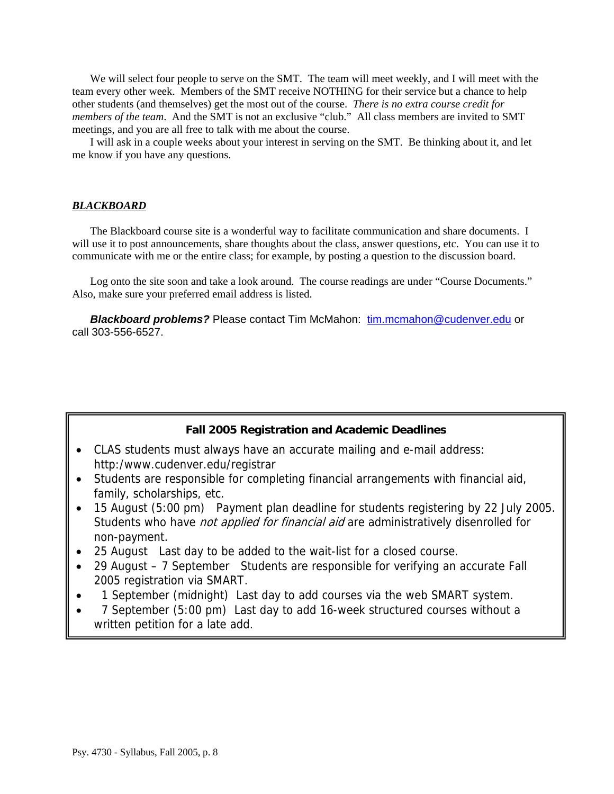We will select four people to serve on the SMT. The team will meet weekly, and I will meet with the team every other week. Members of the SMT receive NOTHING for their service but a chance to help other students (and themselves) get the most out of the course. *There is no extra course credit for members of the team*. And the SMT is not an exclusive "club." All class members are invited to SMT meetings, and you are all free to talk with me about the course.

I will ask in a couple weeks about your interest in serving on the SMT. Be thinking about it, and let me know if you have any questions.

#### *BLACKBOARD*

 The Blackboard course site is a wonderful way to facilitate communication and share documents. I will use it to post announcements, share thoughts about the class, answer questions, etc. You can use it to communicate with me or the entire class; for example, by posting a question to the discussion board.

 Log onto the site soon and take a look around. The course readings are under "Course Documents." Also, make sure your preferred email address is listed.

**Blackboard problems?** Please contact Tim McMahon: tim.mcmahon@cudenver.edu or call 303-556-6527.

### **Fall 2005 Registration and Academic Deadlines**

- CLAS students must always have an accurate mailing and e-mail address: http:/www.cudenver.edu/registrar
- Students are responsible for completing financial arrangements with financial aid, family, scholarships, etc.
- 15 August (5:00 pm) Payment plan deadline for students registering by 22 July 2005. Students who have *not applied for financial aid* are administratively disenrolled for non-payment.
- 25 August Last day to be added to the wait-list for a closed course.
- 29 August 7 September Students are responsible for verifying an accurate Fall 2005 registration via SMART.
- 1 September (midnight) Last day to add courses via the web SMART system.
- 7 September (5:00 pm) Last day to add 16-week structured courses without a written petition for a late add.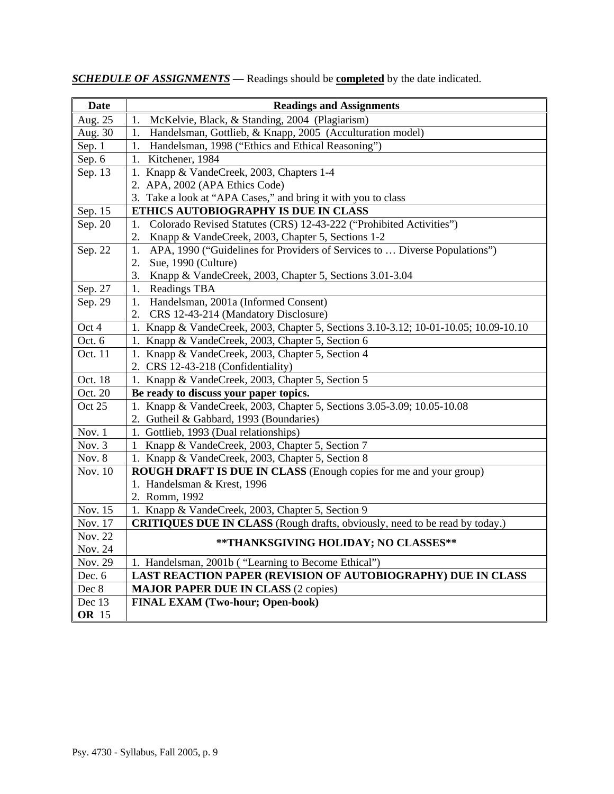| Date              | <b>Readings and Assignments</b>                                                                                   |
|-------------------|-------------------------------------------------------------------------------------------------------------------|
| Aug. 25           | McKelvie, Black, & Standing, 2004 (Plagiarism)<br>1.                                                              |
| Aug. 30           | Handelsman, Gottlieb, & Knapp, 2005 (Acculturation model)<br>1.                                                   |
| Sep. 1            | Handelsman, 1998 ("Ethics and Ethical Reasoning")<br>1.                                                           |
| Sep. 6            | 1. Kitchener, 1984                                                                                                |
| Sep. 13           | Knapp & VandeCreek, 2003, Chapters 1-4<br>1.                                                                      |
|                   | 2. APA, 2002 (APA Ethics Code)                                                                                    |
|                   | 3. Take a look at "APA Cases," and bring it with you to class                                                     |
| Sep. 15           | ETHICS AUTOBIOGRAPHY IS DUE IN CLASS                                                                              |
| Sep. 20           | Colorado Revised Statutes (CRS) 12-43-222 ("Prohibited Activities")<br>1.                                         |
|                   | Knapp & VandeCreek, 2003, Chapter 5, Sections 1-2<br>2.                                                           |
| Sep. 22           | APA, 1990 ("Guidelines for Providers of Services to  Diverse Populations")<br>1.                                  |
|                   | Sue, 1990 (Culture)<br>2.                                                                                         |
|                   | 3.<br>Knapp & VandeCreek, 2003, Chapter 5, Sections 3.01-3.04                                                     |
| Sep. 27           | <b>Readings TBA</b><br>1.                                                                                         |
| Sep. 29           | 1.<br>Handelsman, 2001a (Informed Consent)                                                                        |
|                   | CRS 12-43-214 (Mandatory Disclosure)<br>2.                                                                        |
| Oct 4             | 1. Knapp & VandeCreek, 2003, Chapter 5, Sections 3.10-3.12; 10-01-10.05; 10.09-10.10                              |
| Oct. 6            | 1. Knapp & VandeCreek, 2003, Chapter 5, Section 6                                                                 |
| Oct. 11           | 1. Knapp & VandeCreek, 2003, Chapter 5, Section 4                                                                 |
|                   | 2. CRS 12-43-218 (Confidentiality)                                                                                |
| Oct. 18           | 1. Knapp & VandeCreek, 2003, Chapter 5, Section 5                                                                 |
| Oct. 20<br>Oct 25 | Be ready to discuss your paper topics.<br>1. Knapp & VandeCreek, 2003, Chapter 5, Sections 3.05-3.09; 10.05-10.08 |
|                   | 2. Gutheil & Gabbard, 1993 (Boundaries)                                                                           |
| Nov. 1            | 1. Gottlieb, 1993 (Dual relationships)                                                                            |
| Nov. 3            | Knapp & VandeCreek, 2003, Chapter 5, Section 7<br>$\mathbf{1}$                                                    |
| Nov. 8            | 1. Knapp & VandeCreek, 2003, Chapter 5, Section 8                                                                 |
| Nov. 10           | ROUGH DRAFT IS DUE IN CLASS (Enough copies for me and your group)                                                 |
|                   | 1. Handelsman & Krest, 1996                                                                                       |
|                   | 2. Romm, 1992                                                                                                     |
| Nov. 15           | 1. Knapp & VandeCreek, 2003, Chapter 5, Section 9                                                                 |
| Nov. 17           | <b>CRITIQUES DUE IN CLASS</b> (Rough drafts, obviously, need to be read by today.)                                |
| Nov. 22           |                                                                                                                   |
| Nov. 24           | ** THANKSGIVING HOLIDAY; NO CLASSES**                                                                             |
| Nov. 29           | 1. Handelsman, 2001b ("Learning to Become Ethical")                                                               |
| Dec. 6            | <b>LAST REACTION PAPER (REVISION OF AUTOBIOGRAPHY) DUE IN CLASS</b>                                               |
| Dec 8             | <b>MAJOR PAPER DUE IN CLASS (2 copies)</b>                                                                        |
| Dec 13            | FINAL EXAM (Two-hour; Open-book)                                                                                  |
| <b>OR</b> 15      |                                                                                                                   |

*SCHEDULE OF ASSIGNMENTS —* Readings should be **completed** by the date indicated.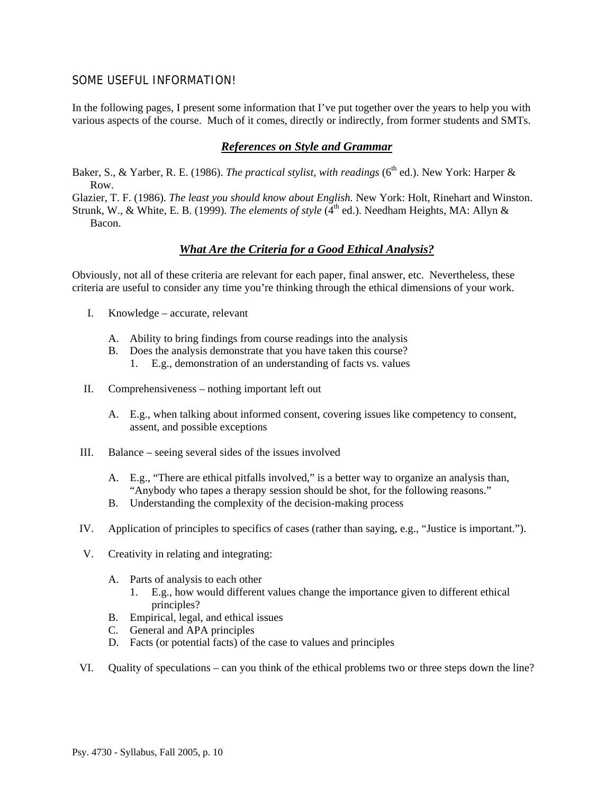### SOME USEFUL INFORMATION!

In the following pages, I present some information that I've put together over the years to help you with various aspects of the course. Much of it comes, directly or indirectly, from former students and SMTs.

#### *References on Style and Grammar*

- Baker, S., & Yarber, R. E. (1986). *The practical stylist, with readings* (6<sup>th</sup> ed.). New York: Harper & Row.
- Glazier, T. F. (1986). *The least you should know about English.* New York: Holt, Rinehart and Winston.
- Strunk, W., & White, E. B. (1999). *The elements of style* (4<sup>th</sup> ed.). Needham Heights, MA: Allyn & Bacon.

### *What Are the Criteria for a Good Ethical Analysis?*

Obviously, not all of these criteria are relevant for each paper, final answer, etc. Nevertheless, these criteria are useful to consider any time you're thinking through the ethical dimensions of your work.

- I. Knowledge accurate, relevant
	- A. Ability to bring findings from course readings into the analysis
	- B. Does the analysis demonstrate that you have taken this course?
		- 1. E.g., demonstration of an understanding of facts vs. values
- II. Comprehensiveness nothing important left out
	- A. E.g., when talking about informed consent, covering issues like competency to consent, assent, and possible exceptions
- III. Balance seeing several sides of the issues involved
	- A. E.g., "There are ethical pitfalls involved," is a better way to organize an analysis than, "Anybody who tapes a therapy session should be shot, for the following reasons."
	- B. Understanding the complexity of the decision-making process
- IV. Application of principles to specifics of cases (rather than saying, e.g., "Justice is important.").
- V. Creativity in relating and integrating:
	- A. Parts of analysis to each other
		- 1. E.g., how would different values change the importance given to different ethical principles?
	- B. Empirical, legal, and ethical issues
	- C. General and APA principles
	- D. Facts (or potential facts) of the case to values and principles
- VI. Quality of speculations can you think of the ethical problems two or three steps down the line?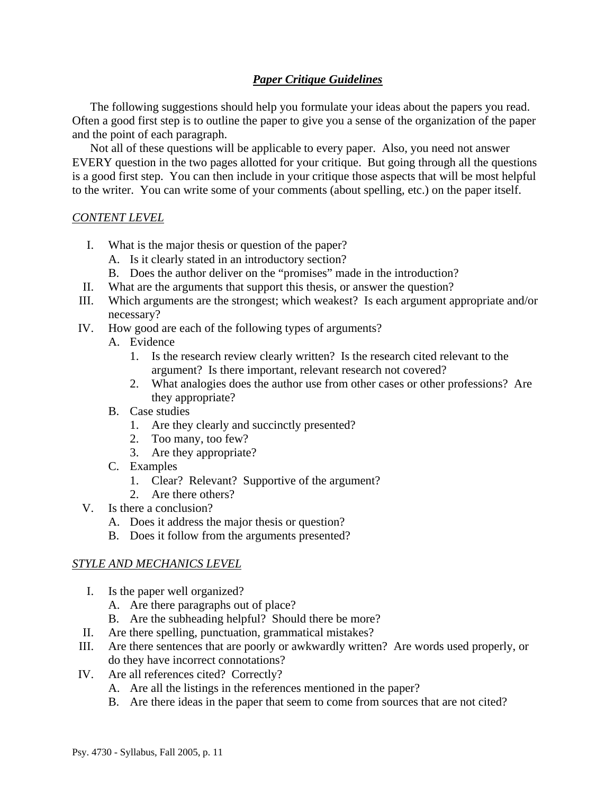## *Paper Critique Guidelines*

 The following suggestions should help you formulate your ideas about the papers you read. Often a good first step is to outline the paper to give you a sense of the organization of the paper and the point of each paragraph.

 Not all of these questions will be applicable to every paper. Also, you need not answer EVERY question in the two pages allotted for your critique. But going through all the questions is a good first step. You can then include in your critique those aspects that will be most helpful to the writer. You can write some of your comments (about spelling, etc.) on the paper itself.

### *CONTENT LEVEL*

- I. What is the major thesis or question of the paper?
	- A. Is it clearly stated in an introductory section?
	- B. Does the author deliver on the "promises" made in the introduction?
- II. What are the arguments that support this thesis, or answer the question?
- III. Which arguments are the strongest; which weakest? Is each argument appropriate and/or necessary?
- IV. How good are each of the following types of arguments?
	- A. Evidence
		- 1. Is the research review clearly written? Is the research cited relevant to the argument? Is there important, relevant research not covered?
		- 2. What analogies does the author use from other cases or other professions? Are they appropriate?
	- B. Case studies
		- 1. Are they clearly and succinctly presented?
		- 2. Too many, too few?
		- 3. Are they appropriate?
	- C. Examples
		- 1. Clear? Relevant? Supportive of the argument?
		- 2. Are there others?
- V. Is there a conclusion?
	- A. Does it address the major thesis or question?
	- B. Does it follow from the arguments presented?

### *STYLE AND MECHANICS LEVEL*

- I. Is the paper well organized?
	- A. Are there paragraphs out of place?
	- B. Are the subheading helpful? Should there be more?
- II. Are there spelling, punctuation, grammatical mistakes?
- III. Are there sentences that are poorly or awkwardly written? Are words used properly, or do they have incorrect connotations?
- IV. Are all references cited? Correctly?
	- A. Are all the listings in the references mentioned in the paper?
	- B. Are there ideas in the paper that seem to come from sources that are not cited?